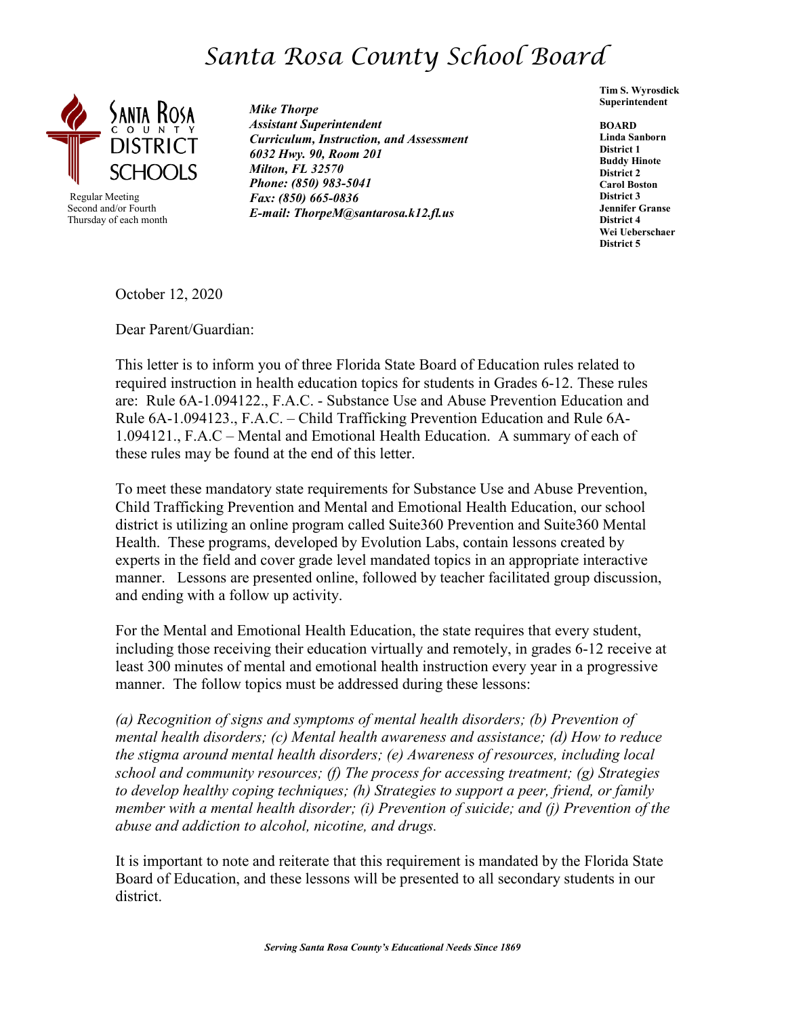## *Santa Rosa County School Board*



 Regular Meeting Second and/or Fourth Thursday of each month *Mike Thorpe Assistant Superintendent Curriculum, Instruction, and Assessment 6032 Hwy. 90, Room 201 Milton, FL 32570 Phone: (850) 983-5041 Fax: (850) 665-0836 E-mail: ThorpeM@santarosa.k12.fl.us*

**Tim S. Wyrosdick Superintendent** 

**BOARD Linda Sanborn District 1 Buddy Hinote District 2 Carol Boston District 3 Jennifer Granse District 4 Wei Ueberschaer District 5**

October 12, 2020

Dear Parent/Guardian:

This letter is to inform you of three Florida State Board of Education rules related to required instruction in health education topics for students in Grades 6-12. These rules are: Rule 6A-1.094122., F.A.C. - Substance Use and Abuse Prevention Education and Rule 6A-1.094123., F.A.C. – Child Trafficking Prevention Education and Rule 6A-1.094121., F.A.C – Mental and Emotional Health Education. A summary of each of these rules may be found at the end of this letter.

To meet these mandatory state requirements for Substance Use and Abuse Prevention, Child Trafficking Prevention and Mental and Emotional Health Education, our school district is utilizing an online program called Suite360 Prevention and Suite360 Mental Health. These programs, developed by Evolution Labs, contain lessons created by experts in the field and cover grade level mandated topics in an appropriate interactive manner. Lessons are presented online, followed by teacher facilitated group discussion, and ending with a follow up activity.

For the Mental and Emotional Health Education, the state requires that every student, including those receiving their education virtually and remotely, in grades 6-12 receive at least 300 minutes of mental and emotional health instruction every year in a progressive manner. The follow topics must be addressed during these lessons:

*(a) Recognition of signs and symptoms of mental health disorders; (b) Prevention of mental health disorders; (c) Mental health awareness and assistance; (d) How to reduce the stigma around mental health disorders; (e) Awareness of resources, including local school and community resources; (f) The process for accessing treatment; (g) Strategies to develop healthy coping techniques; (h) Strategies to support a peer, friend, or family member with a mental health disorder; (i) Prevention of suicide; and (j) Prevention of the abuse and addiction to alcohol, nicotine, and drugs.*

It is important to note and reiterate that this requirement is mandated by the Florida State Board of Education, and these lessons will be presented to all secondary students in our district.